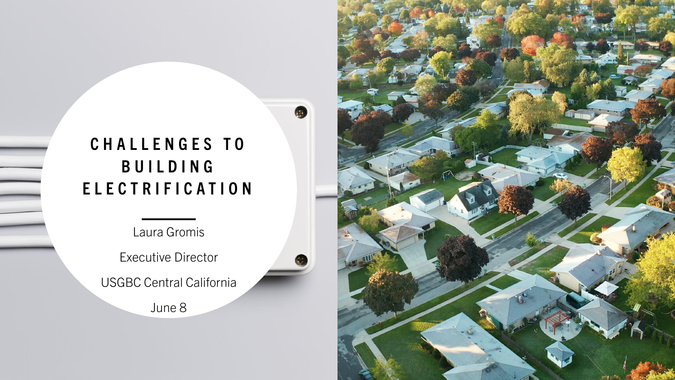#### **C H A L L E N G E S T O B U I L D I N G E L E C T R I F I C A T I O N**

Laura Gromis

Executive Director

USGBC Central California

June 8

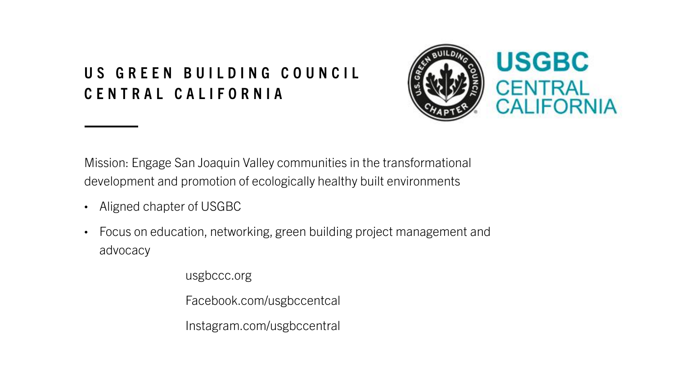#### **U S G R E E N B U I L D I N G C O U N C I L C E N T R A L C A L I F O R N I A**



Mission: Engage San Joaquin Valley communities in the transformational development and promotion of ecologically healthy built environments

- Aligned chapter of USGBC
- Focus on education, networking, green building project management and advocacy

usgbccc.org

Facebook.com/usgbccentcal

Instagram.com/usgbccentral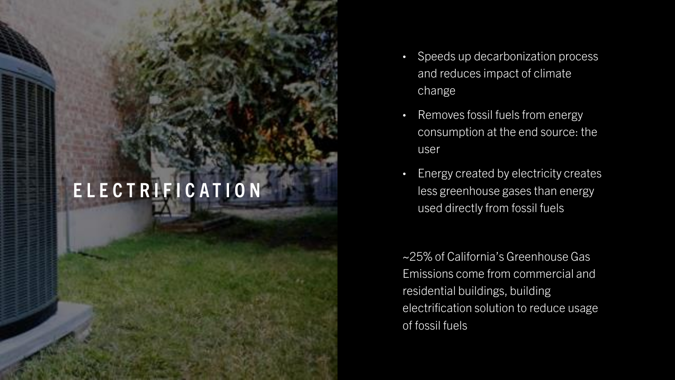# **E L E C T R I F I C A T I O N**

- Speeds up decarbonization process and reduces impact of climate change
- Removes fossil fuels from energy consumption at the end source: the user
- Energy created by electricity creates less greenhouse gases than energy used directly from fossil fuels

~25% of California's Greenhouse Gas Emissions come from commercial and residential buildings, building electrification solution to reduce usage of fossil fuels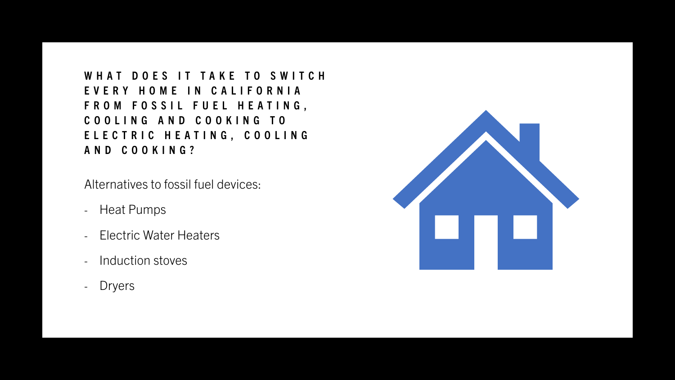#### WHAT DOES IT TAKE TO SWITCH **E V E R Y H O M E I N C A L I F O R N I A**  F R O M F O S S I L F U E L H E A T I N G , **C O O L I N G A N D C O O K I N G T O E L E C T R I C H E A T I N G , C O O L I N G A N D C O O K I N G ?**

Alternatives to fossil fuel devices:

- Heat Pumps
- Electric Water Heaters
- Induction stoves
- Dryers

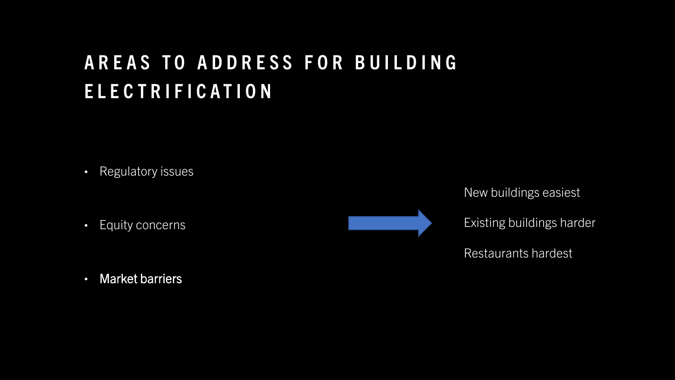### **A R E A S T O A D D R E S S F O R B U I L D I N G E L E C T R I F I C A T I O N**

• Regulatory issues

• Equity concerns



New buildings easiest

Existing buildings harder

Restaurants hardest

• Market barriers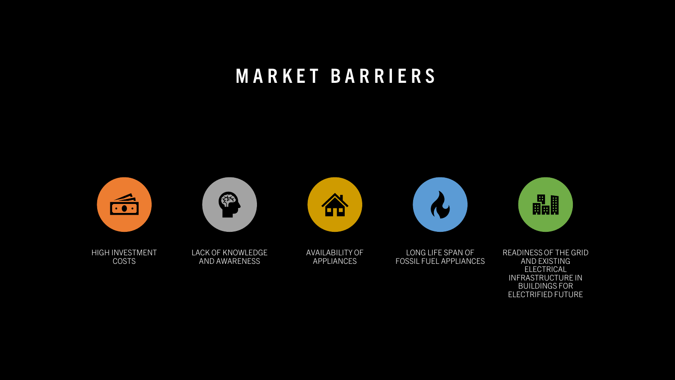### **M A R K E T B A R R I E R S**

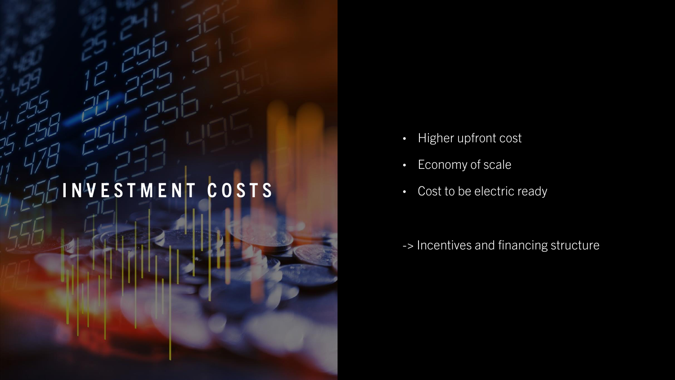## **I N V E S T M E N T C O S T S**

- Higher upfront cost
- Economy of scale
- Cost to be electric ready

-> Incentives and financing structure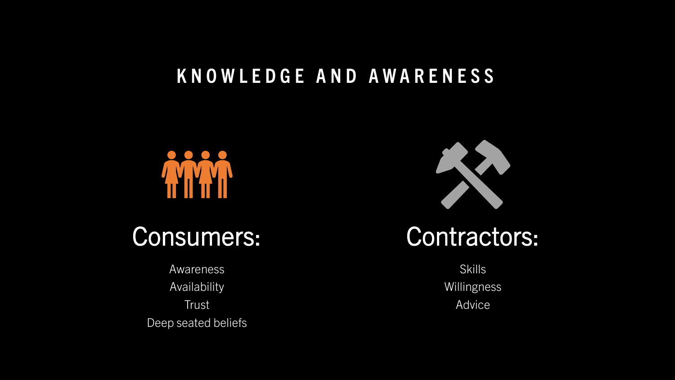### **K N O W L E D G E A N D A W A R E N E S S**



### Consumers:

**Awareness** Availability **Trust** Deep seated beliefs



# Contractors:

Skills **Willingness** Advice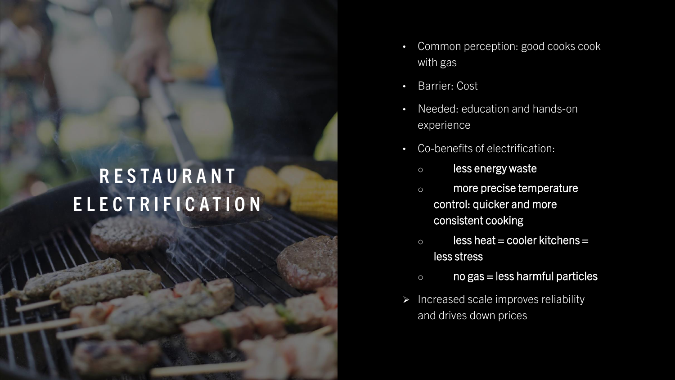### **R E S T A U R A N T E L E C T R I F I C A T I O N**

- Common perception: good cooks cook with gas
- Barrier: Cost
- Needed: education and hands-on experience
- Co-benefits of electrification:
	- o less energy waste
	- o more precise temperature control: quicker and more consistent cooking
	- $\circ$  less heat = cooler kitchens = less stress
	- $\circ$  no gas = less harmful particles
- ➢ Increased scale improves reliability and drives down prices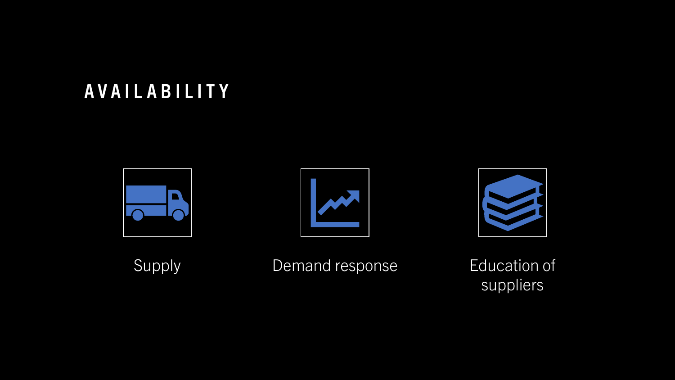### **A V A I L A B I L I T Y**







Supply **Demand response** Education of

suppliers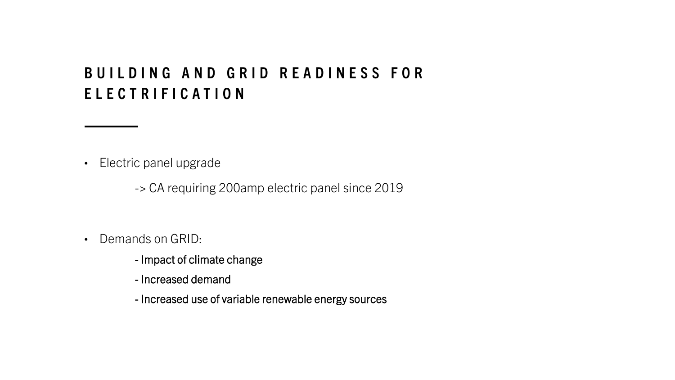#### **B U I L D I N G A N D G R I D R E A D I N E S S F O R E L E C T R I F I C A T I O N**

• Electric panel upgrade

-> CA requiring 200amp electric panel since 2019

- Demands on GRID:
	- Impact of climate change
	- Increased demand
	- Increased use of variable renewable energy sources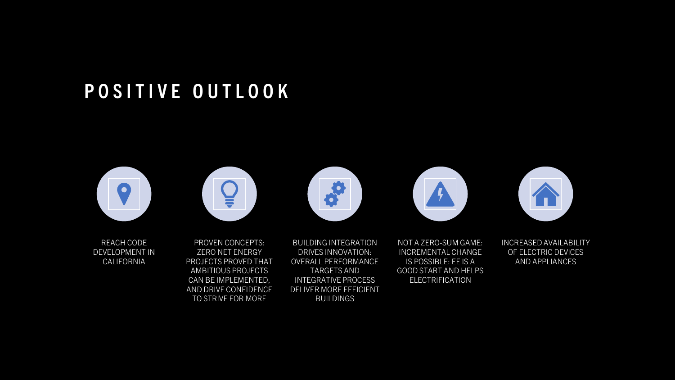### **P O S I T I V E O U T L O O K**



REACH CODE DEVELOPMENT IN CALIFORNIA

PROVEN CONCEPTS: ZERO NET ENERGY PROJECTS PROVED THAT AMBITIOUS PROJECTS CAN BE IMPLEMENTED, AND DRIVE CONFIDENCE TO STRIVE FOR MORE

BUILDING INTEGRATION DRIVES INNOVATION: OVERALL PERFORMANCE TARGETS AND INTEGRATIVE PROCESS DELIVER MORE EFFICIENT BUILDINGS

NOT A ZERO-SUM GAME: INCREMENTAL CHANGE IS POSSIBLE: EE IS A GOOD START AND HELPS ELECTRIFICATION

INCREASED AVAILABILITY OF ELECTRIC DEVICES AND APPLIANCES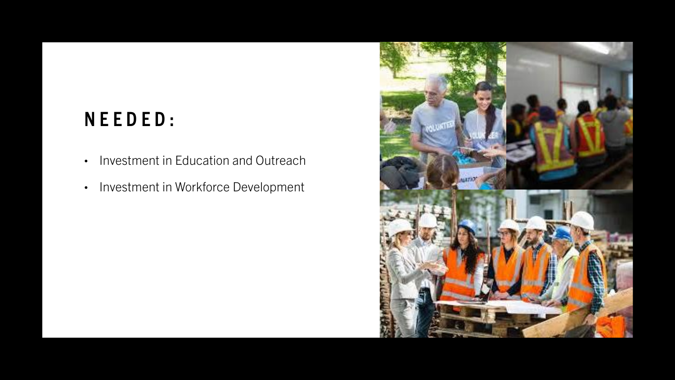### **N E E D E D :**

- Investment in Education and Outreach
- Investment in Workforce Development